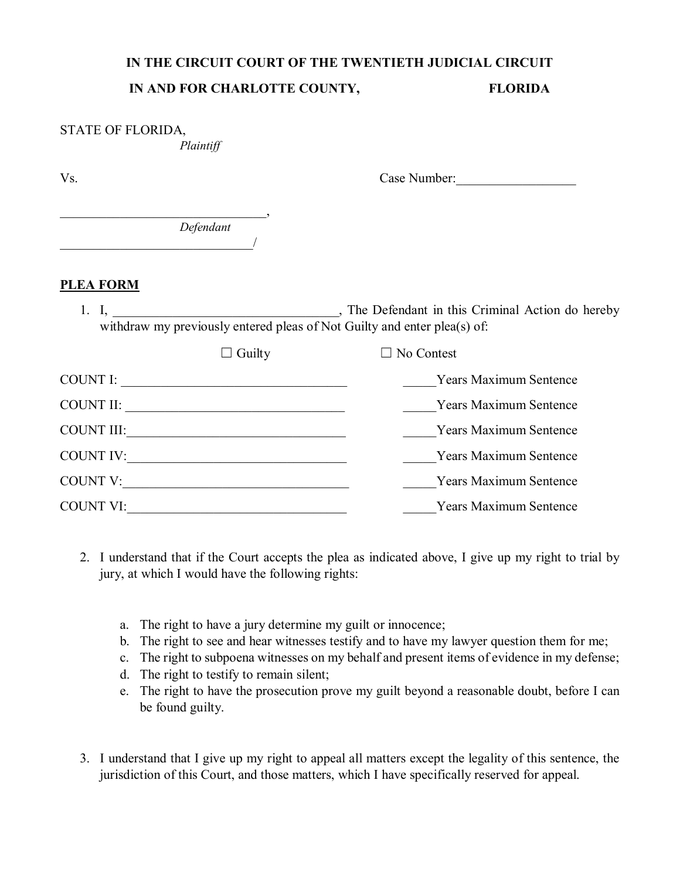## **IN THE CIRCUIT COURT OF THE TWENTIETH JUDICIAL CIRCUIT IN AND FOR CHARLOTTE COUNTY, FLORIDA**

| STATE OF FLORIDA,<br>Plaintiff                                           |                               |
|--------------------------------------------------------------------------|-------------------------------|
| Vs.                                                                      | Case Number:                  |
| Defendant                                                                |                               |
| <b>PLEA FORM</b>                                                         |                               |
| withdraw my previously entered pleas of Not Guilty and enter plea(s) of: |                               |
| $\Box$ Guilty                                                            | No Contest                    |
|                                                                          | Years Maximum Sentence        |
|                                                                          | Years Maximum Sentence        |
|                                                                          | <b>Years Maximum Sentence</b> |
|                                                                          | <b>Years Maximum Sentence</b> |
| COUNT V:                                                                 | Years Maximum Sentence        |
|                                                                          | <b>Years Maximum Sentence</b> |

- 2. I understand that if the Court accepts the plea as indicated above, I give up my right to trial by jury, at which I would have the following rights:
	- a. The right to have a jury determine my guilt or innocence;
	- b. The right to see and hear witnesses testify and to have my lawyer question them for me;
	- c. The right to subpoena witnesses on my behalf and present items of evidence in my defense;
	- d. The right to testify to remain silent;
	- e. The right to have the prosecution prove my guilt beyond a reasonable doubt, before I can be found guilty.
- 3. I understand that I give up my right to appeal all matters except the legality of this sentence, the jurisdiction of this Court, and those matters, which I have specifically reserved for appeal.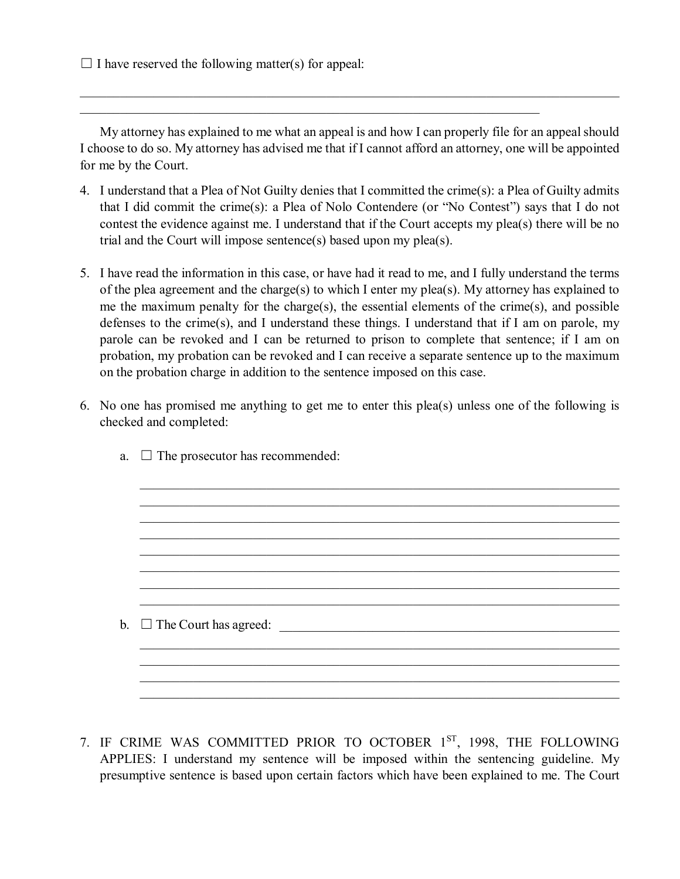$\Box$  I have reserved the following matter(s) for appeal:

My attorney has explained to me what an appeal is and how I can properly file for an appeal should I choose to do so. My attorney has advised me that if I cannot afford an attorney, one will be appointed for me by the Court.

\_\_\_\_\_\_\_\_\_\_\_\_\_\_\_\_\_\_\_\_\_\_\_\_\_\_\_\_\_\_\_\_\_\_\_\_\_\_\_\_\_\_\_\_\_\_\_\_\_\_\_\_\_\_\_\_\_\_\_\_\_\_\_\_\_\_\_\_\_

- 4. I understand that a Plea of Not Guilty denies that I committed the crime(s): a Plea of Guilty admits that I did commit the crime(s): a Plea of Nolo Contendere (or "No Contest") says that I do not contest the evidence against me. I understand that if the Court accepts my plea(s) there will be no trial and the Court will impose sentence(s) based upon my plea(s).
- 5. I have read the information in this case, or have had it read to me, and I fully understand the terms of the plea agreement and the charge(s) to which I enter my plea(s). My attorney has explained to me the maximum penalty for the charge(s), the essential elements of the crime(s), and possible defenses to the crime(s), and I understand these things. I understand that if I am on parole, my parole can be revoked and I can be returned to prison to complete that sentence; if I am on probation, my probation can be revoked and I can receive a separate sentence up to the maximum on the probation charge in addition to the sentence imposed on this case.
- 6. No one has promised me anything to get me to enter this plea(s) unless one of the following is checked and completed:
	- $\_$  , and the set of the set of the set of the set of the set of the set of the set of the set of the set of the set of the set of the set of the set of the set of the set of the set of the set of the set of the set of th  $\_$  , and the set of the set of the set of the set of the set of the set of the set of the set of the set of the set of the set of the set of the set of the set of the set of the set of the set of the set of the set of th  $\_$  , and the set of the set of the set of the set of the set of the set of the set of the set of the set of the set of the set of the set of the set of the set of the set of the set of the set of the set of the set of th  $\_$  , and the set of the set of the set of the set of the set of the set of the set of the set of the set of the set of the set of the set of the set of the set of the set of the set of the set of the set of the set of th  $\_$  , and the set of the set of the set of the set of the set of the set of the set of the set of the set of the set of the set of the set of the set of the set of the set of the set of the set of the set of the set of th b. ☐ The Court has agreed: \_\_\_\_\_\_\_\_\_\_\_\_\_\_\_\_\_\_\_\_\_\_\_\_\_\_\_\_\_\_\_\_\_\_\_\_\_\_\_\_\_\_\_\_\_\_\_\_\_\_\_  $\_$  , and the set of the set of the set of the set of the set of the set of the set of the set of the set of the set of the set of the set of the set of the set of the set of the set of the set of the set of the set of th  $\_$  , and the set of the set of the set of the set of the set of the set of the set of the set of the set of the set of the set of the set of the set of the set of the set of the set of the set of the set of the set of th  $\_$  , and the set of the set of the set of the set of the set of the set of the set of the set of the set of the set of the set of the set of the set of the set of the set of the set of the set of the set of the set of th
	- a.  $\Box$  The prosecutor has recommended:

7. IF CRIME WAS COMMITTED PRIOR TO OCTOBER 1<sup>ST</sup>, 1998, THE FOLLOWING APPLIES: I understand my sentence will be imposed within the sentencing guideline. My presumptive sentence is based upon certain factors which have been explained to me. The Court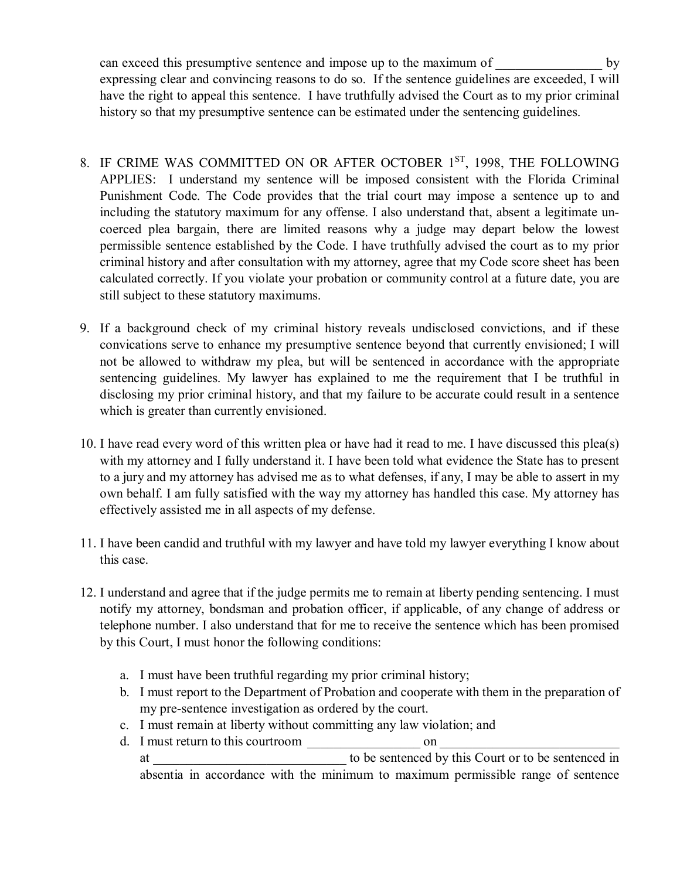can exceed this presumptive sentence and impose up to the maximum of by expressing clear and convincing reasons to do so. If the sentence guidelines are exceeded, I will have the right to appeal this sentence. I have truthfully advised the Court as to my prior criminal history so that my presumptive sentence can be estimated under the sentencing guidelines.

- 8. IF CRIME WAS COMMITTED ON OR AFTER OCTOBER 1ST, 1998, THE FOLLOWING APPLIES: I understand my sentence will be imposed consistent with the Florida Criminal Punishment Code. The Code provides that the trial court may impose a sentence up to and including the statutory maximum for any offense. I also understand that, absent a legitimate uncoerced plea bargain, there are limited reasons why a judge may depart below the lowest permissible sentence established by the Code. I have truthfully advised the court as to my prior criminal history and after consultation with my attorney, agree that my Code score sheet has been calculated correctly. If you violate your probation or community control at a future date, you are still subject to these statutory maximums.
- 9. If a background check of my criminal history reveals undisclosed convictions, and if these convications serve to enhance my presumptive sentence beyond that currently envisioned; I will not be allowed to withdraw my plea, but will be sentenced in accordance with the appropriate sentencing guidelines. My lawyer has explained to me the requirement that I be truthful in disclosing my prior criminal history, and that my failure to be accurate could result in a sentence which is greater than currently envisioned.
- 10. I have read every word of this written plea or have had it read to me. I have discussed this plea(s) with my attorney and I fully understand it. I have been told what evidence the State has to present to a jury and my attorney has advised me as to what defenses, if any, I may be able to assert in my own behalf. I am fully satisfied with the way my attorney has handled this case. My attorney has effectively assisted me in all aspects of my defense.
- 11. I have been candid and truthful with my lawyer and have told my lawyer everything I know about this case.
- 12. I understand and agree that if the judge permits me to remain at liberty pending sentencing. I must notify my attorney, bondsman and probation officer, if applicable, of any change of address or telephone number. I also understand that for me to receive the sentence which has been promised by this Court, I must honor the following conditions:
	- a. I must have been truthful regarding my prior criminal history;
	- b. I must report to the Department of Probation and cooperate with them in the preparation of my pre-sentence investigation as ordered by the court.
	- c. I must remain at liberty without committing any law violation; and
	- d. I must return to this courtroom on at to be sentenced by this Court or to be sentenced in absentia in accordance with the minimum to maximum permissible range of sentence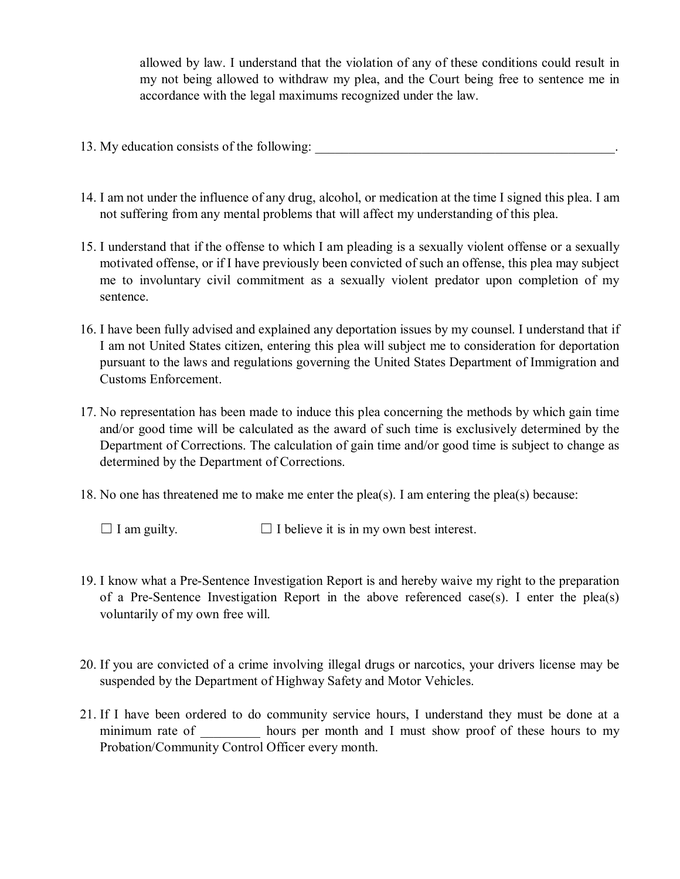allowed by law. I understand that the violation of any of these conditions could result in my not being allowed to withdraw my plea, and the Court being free to sentence me in accordance with the legal maximums recognized under the law.

- 13. My education consists of the following:
- 14. I am not under the influence of any drug, alcohol, or medication at the time I signed this plea. I am not suffering from any mental problems that will affect my understanding of this plea.
- 15. I understand that if the offense to which I am pleading is a sexually violent offense or a sexually motivated offense, or if I have previously been convicted of such an offense, this plea may subject me to involuntary civil commitment as a sexually violent predator upon completion of my sentence.
- 16. I have been fully advised and explained any deportation issues by my counsel. I understand that if I am not United States citizen, entering this plea will subject me to consideration for deportation pursuant to the laws and regulations governing the United States Department of Immigration and Customs Enforcement.
- 17. No representation has been made to induce this plea concerning the methods by which gain time and/or good time will be calculated as the award of such time is exclusively determined by the Department of Corrections. The calculation of gain time and/or good time is subject to change as determined by the Department of Corrections.
- 18. No one has threatened me to make me enter the plea(s). I am entering the plea(s) because:

 $\Box$  I am guilty.  $\Box$  I believe it is in my own best interest.

- 19. I know what a Pre-Sentence Investigation Report is and hereby waive my right to the preparation of a Pre-Sentence Investigation Report in the above referenced case(s). I enter the plea(s) voluntarily of my own free will.
- 20. If you are convicted of a crime involving illegal drugs or narcotics, your drivers license may be suspended by the Department of Highway Safety and Motor Vehicles.
- 21. If I have been ordered to do community service hours, I understand they must be done at a minimum rate of hours per month and I must show proof of these hours to my Probation/Community Control Officer every month.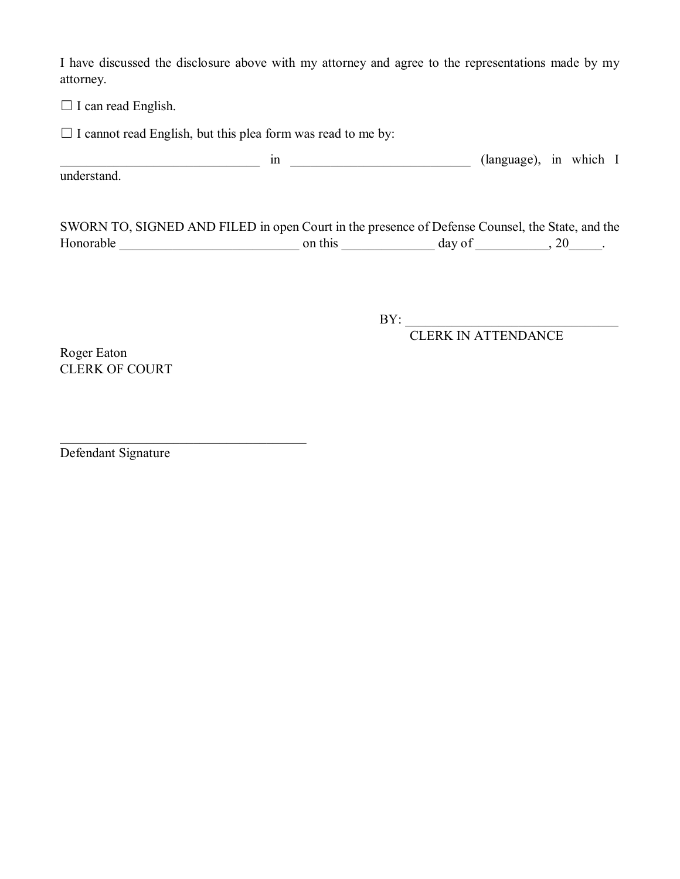I have discussed the disclosure above with my attorney and agree to the representations made by my attorney.

□ I can read English.

 $\Box$  I cannot read English, but this plea form was read to me by:

\_\_\_\_\_\_\_\_\_\_\_\_\_\_\_\_\_\_\_\_\_\_\_\_\_\_\_\_\_\_ in \_\_\_\_\_\_\_\_\_\_\_\_\_\_\_\_\_\_\_\_\_\_\_\_\_\_\_ (language), in which I understand.

SWORN TO, SIGNED AND FILED in open Court in the presence of Defense Counsel, the State, and the Honorable \_\_\_\_\_\_\_\_\_\_\_\_\_\_\_\_\_\_\_\_\_\_\_\_\_\_\_ on this \_\_\_\_\_\_\_\_\_\_\_\_\_\_ day of \_\_\_\_\_\_\_\_\_\_\_, 20\_\_\_\_\_.

 $BY:$ 

CLERK IN ATTENDANCE

Roger Eaton CLERK OF COURT

Defendant Signature